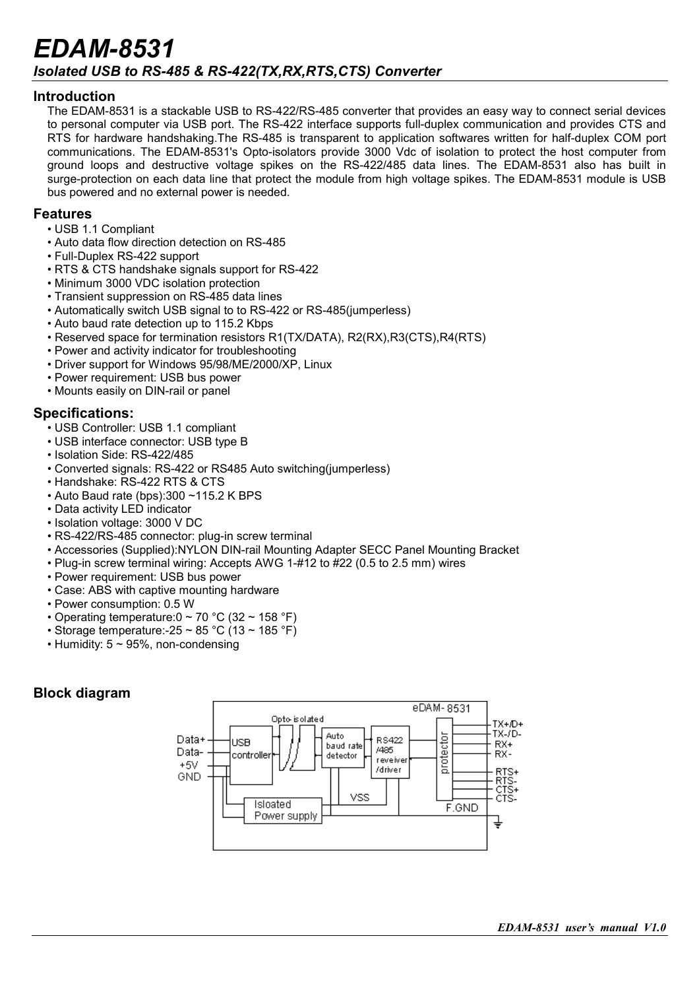## *EDAM-8531 Isolated USB to RS-485 & RS-422(TX,RX,RTS,CTS) Converter*

#### **Introduction**

The EDAM-8531 is a stackable USB to RS-422/RS-485 converter that provides an easy way to connect serial devices to personal computer via USB port. The RS-422 interface supports full-duplex communication and provides CTS and RTS for hardware handshaking.The RS-485 is transparent to application softwares written for half-duplex COM port communications. The EDAM-8531's Opto-isolators provide 3000 Vdc of isolation to protect the host computer from ground loops and destructive voltage spikes on the RS-422/485 data lines. The EDAM-8531 also has built in surge-protection on each data line that protect the module from high voltage spikes. The EDAM-8531 module is USB bus powered and no external power is needed.

#### **Features**

- USB 1.1 Compliant
- Auto data flow direction detection on RS-485
- Full-Duplex RS-422 support
- RTS & CTS handshake signals support for RS-422
- Minimum 3000 VDC isolation protection
- Transient suppression on RS-485 data lines
- Automatically switch USB signal to to RS-422 or RS-485 (jumperless)
- Auto baud rate detection up to 115.2 Kbps
- Reserved space for termination resistors R1(TX/DATA), R2(RX),R3(CTS),R4(RTS)
- Power and activity indicator for troubleshooting
- Driver support for Windows 95/98/ME/2000/XP, Linux
- Power requirement: USB bus power
- Mounts easily on DIN-rail or panel

### **Specifications:**

- USB Controller: USB 1.1 compliant
- USB interface connector: USB type B
- Isolation Side: RS-422/485
- Converted signals: RS-422 or RS485 Auto switching(jumperless)
- Handshake: RS-422 RTS & CTS
- Auto Baud rate (bps):300 ~115.2 K BPS
- Data activity LED indicator
- Isolation voltage: 3000 V DC
- RS-422/RS-485 connector: plug-in screw terminal
- Accessories (Supplied):NYLON DIN-rail Mounting Adapter SECC Panel Mounting Bracket
- Plug-in screw terminal wiring: Accepts AWG 1-#12 to #22 (0.5 to 2.5 mm) wires
- Power requirement: USB bus power
- Case: ABS with captive mounting hardware
- Power consumption: 0.5 W
- Operating temperature:  $0 \sim 70$  °C (32  $\sim$  158 °F)
- Storage temperature: -25 ~ 85 °C (13 ~ 185 °F)
- Humidity:  $5 \sim 95\%$ , non-condensing

### **Block diagram**